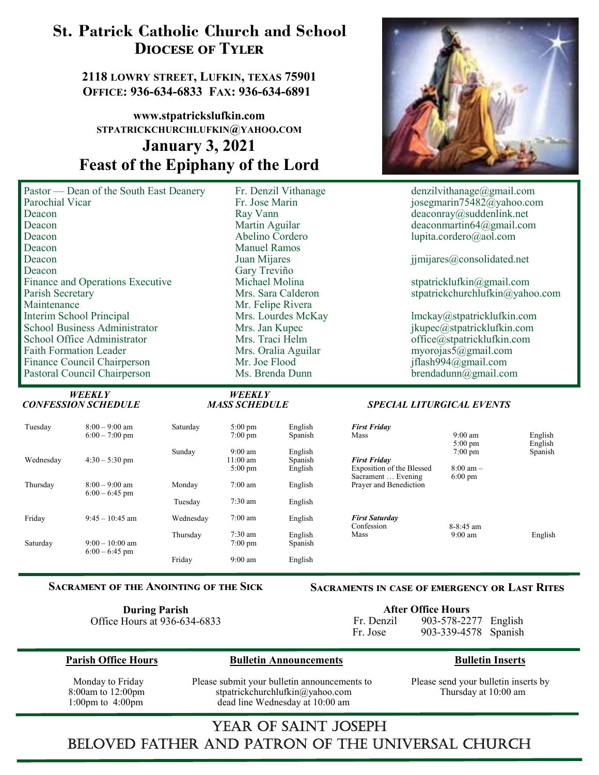# St. Patrick Catholic Church and School DIOCESE OF TYLER

2118 LOWRY STREET, LUFKIN, TEXAS 75901 OFFICE: 936-634-6833 FAX: 936-634-6891

## www.stpatrickslufkin.com STPATRICKCHURCHLUFKIN@YAHOO.COM January 3, 2021 Feast of the Epiphany of the Lord

| Pastor — Dean of the South East Deane |
|---------------------------------------|
| Parochial Vicar                       |
| Deacon                                |
| Deacon                                |
| Deacon                                |
| Deacon                                |
| Deacon                                |
| Deacon                                |
| Finance and Operations Executive      |
| Parish Secretary                      |
| Maintenance                           |
| Interim School Principal              |
| <b>School Business Administrator</b>  |
| School Office Administrator           |
| <b>Faith Formation Leader</b>         |
| Finance Council Chairperson           |
| Pastoral Council Chairperson          |
|                                       |

Manuel Ramos Gary Treviño<br>Michael Molina Mr. Felipe Rivera )LQDQFH&RXQFLO&KDLUSHUVRQ 0U-RH)ORRG MIODVK#JPDLOFRP



3DVBT Fr. Denzil Vithanage<br>3DVBT denzilvithanage@gmail.com<br>3DVBT iosegmarin75482@yahoo.com josegmarin $75\overline{482}$ @yahoo.com 'HDFRQ 5D\9DQQ GHDFRQUD\#VXGGHQOLQNQHW Martin Aguilar deaconmartin64@gmail.com<br>
Abelino Cordero deaconmarting lupita.cordero@aol.com lupita.cordero@aol.com

Juan Mijares imijares ijmijares ale konsolidated.net

)LQDQFHDQG2SHUDWLRQV([HFXWLYH 0LFKDHO0ROLQD VWSDWULFNOXINLQ#JPDLOFRP  $stpatrick churchlufkin@yahoo.com$ 

Mrs. Lourdes McKay (and almokay almokay discrete discrete discrete discrete discrete discrete discrete discret<br>
ikupec@stpatricklufkin.com 6FKRRO%XVLQHVV\$GPLQLVWUDWRU 0UV-DQ.XSHF MNXSHF#VWSDWULFNOXINLQFRP 6FKRRO2IILFH\$GPLQLVWUDWRU 0UV7UDFL+HOP RIILFH#VWSDWULFNOXINLQFRP myorojas $\overline{\mathfrak{S}}(\overline{a})$ gmail.com  $b$ rendadunn $\omega$ gmail.com

#### SPECIAL LITURGICAL EVENTS

| Tuesday   | $8:00 - 9:00$ am<br>$6:00 - 7:00$ pm | Saturday  | $5:00 \text{ pm}$<br>$7:00 \text{ pm}$             | English<br>Spanish            | <b>First Friday</b><br>Mass                                                   | $9:00$ am<br>$5:00 \text{ pm}$                                | English<br>English<br>Spanish |
|-----------|--------------------------------------|-----------|----------------------------------------------------|-------------------------------|-------------------------------------------------------------------------------|---------------------------------------------------------------|-------------------------------|
| Wednesday | $4:30 - 5:30$ pm                     | Sunday    | $9:00 \text{ am}$<br>11:00 am<br>$5:00 \text{ pm}$ | English<br>Spanish<br>English | <b>First Friday</b><br><b>Exposition of the Blessed</b><br>Sacrament  Evening | $7:00 \text{ pm}$<br>$8:00 \text{ am} -$<br>$6:00 \text{ pm}$ |                               |
| Thursday  | $8:00 - 9:00$ am<br>$6:00 - 6:45$ pm | Monday    | $7:00$ am                                          | English                       | Prayer and Benediction                                                        |                                                               |                               |
|           |                                      | Tuesday   | $7:30$ am                                          | English                       |                                                                               |                                                               |                               |
| Friday    | $9:45 - 10:45$ am                    | Wednesday | $7:00$ am                                          | English                       | <b>First Saturday</b><br>Confession                                           | $8-8:45$ am                                                   |                               |
| Saturday  | $9:00-10:00$ am<br>$6:00 - 6:45$ pm  | Thursday  | $7:30$ am<br>$7:00 \text{ pm}$                     | English<br>Spanish            | Mass                                                                          | $9:00$ am                                                     | English                       |
|           |                                      | Friday    | $9:00$ am                                          | English                       |                                                                               |                                                               |                               |

#### SACRAMENT OF THE ANOINTING OF THE SICK

 $\begin{array}{ccccc}\n & \textit{WEEKLY} & & \textit{WEEKLY} \\
 \textit{CONFESSION SCHEDULE} & & \textit{MASS SCHEDULE}\n \end{array}$ 

#### **SACRAMENTS IN CASE OF EMERGENCY OR LAST RITES**

During Parish Office Hours at 936-634-6833

| <b>After Office Hours</b> |                      |  |  |  |  |  |
|---------------------------|----------------------|--|--|--|--|--|
| Fr. Denzil                | 903-578-2277 English |  |  |  |  |  |
| Fr. Jose                  | 903-339-4578 Spanish |  |  |  |  |  |

#### **2**Parish Office Hours **3DULG & Bulletin Announcements** 3DULQ 3DULQ 3DULQ 3DULQ 3DULQ 3DULQ 3DULQ 3DULQ 3DULQ 4DU

Monday to Friday **3.2** Please submit your bulletin announcements to Please send your bulletin inserts by 8:00am to 12:00pm stpatrickchurchlufkin@yahoo.com Thursday at 10:00 am 1:00pm to 4:00pm dead line Wednesday at 10:00 am

# YEAR OF SAINT JOSEPH beloved father and patron of the Universal ChUrCh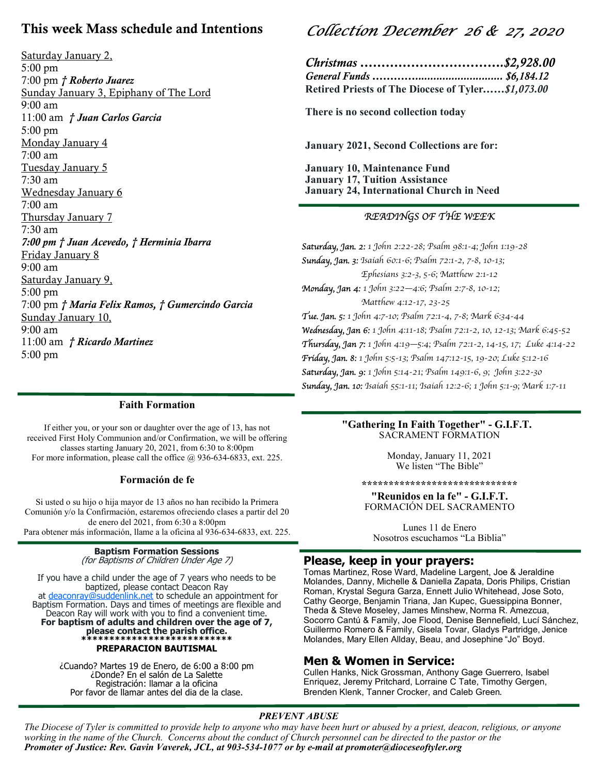## This week Mass schedule and Intentions

Saturday January 2, 5:00 pm 7:00 pm † Roberto Juarez Sunday January 3, Epiphany of The Lord 9:00 am 11:00 am † Juan Carlos Garcia 5:00 pm Monday January 4 7:00 am Tuesday January 5 7:30 am Wednesday January 6 7:00 am Thursday January 7 7:30 am 7:00 pm † Juan Acevedo, † Herminia Ibarra Friday January 8 9:00 am Saturday January 9, 5:00 pm 7:00 pm † Maria Felix Ramos, † Gumercindo Garcia Sunday January 10, 9:00 am 11:00 am † Ricardo Martinez 5:00 pm

# Collection December 26 & 27, 2020

| Christmas \$2,928.00                              |  |
|---------------------------------------------------|--|
|                                                   |  |
| Retired Priests of The Diocese of Tyler\$1,073.00 |  |

There is no second collection today

January 2021, Second Collections are for:

January 10, Maintenance Fund January 17, Tuition Assistance January 24, International Church in Need

#### READINGS OF THE WEEK

Saturday, Jan. 2: 1 John 2:22-28; Psalm 98:1-4; John 1:19-28 Sunday, Jan. 3: Isaiah 60:1-6; Psalm 72:1-2, 7-8, 10-13; Ephesians 3:2-3, 5-6; Matthew 2:1-12 Monday, Jan 4: 1 John 3:22—4:6; Psalm 2:7-8, 10-12; Matthew 4:12-17, 23-25 Tue. Jan. 5: 1 John 4:7-10; Psalm 72:1-4, 7-8; Mark 6:34-44 Wednesday, Jan 6: 1 John 4:11-18; Psalm 72:1-2, 10, 12-13; Mark 6:45-52 Thursday, Jan 7: 1 John 4:19—5:4; Psalm 72:1-2, 14-15, 17; Luke 4:14-22 Friday, Jan. 8: 1 John 5:5-13; Psalm 147:12-15, 19-20; Luke 5:12-16 Saturday, Jan. 9: 1 John 5:14-21; Psalm 149:1-6, 9; John 3:22-30 Sunday, Jan. 10: Isaiah 55:1-11; Isaiah 12:2-6; 1 John 5:1-9; Mark 1:7-11

#### **Faith Formation**

If either you, or your son or daughter over the age of 13, has not received First Holy Communion and/or Confirmation, we will be offering classes starting January 20, 2021, from  $6:30$  to  $8:00$ pm For more information, please call the office  $@$  936-634-6833, ext. 225.

#### Formación de fe

Si usted o su hijo o hija mayor de 13 años no han recibido la Primera Comunión y/o la Confirmación, estaremos ofreciendo clases a partir del 20 de enero del 2021, from  $6:30$  a  $8:00$ pm Para obtener más información, llame a la oficina al 936-634-6833, ext. 225.

#### **Baptism Formation Sessions** (for Baptisms of Children Under Age 7)

If you have a child under the age of 7 years who needs to be baptized, please contact Deacon Ray at deaconray@suddenlink.net to schedule an appointment for Baptism Formation. Days and times of meetings are flexible and Deacon Ray will work with you to find a convenient time. For baptism of adults and children over the age of 7, please contact the parish office. \*\*\*\*\*\*\*\*\*\*\*\*\*\*\*\*\*\*\*\*\*\*\*\*\*\*\*\*\* PREPARACION BAUTISMAL

> ¿Cuando? Martes 19 de Enero, de 6:00 a 8:00 pm ¿Donde? En el salón de La Salette Registración: llamar a la oficina Por favor de llamar antes del dia de la clase.

#### "Gathering In Faith Together" - G.I.F.T. SACRAMENT FORMATION

Monday, January 11, 2021 We listen "The Bible"

\*\*\*\*\*\*\*\*\*\*\*\*\*\*\*\*\*\*\*\*\*\*\*\*\*\*\*\*\*

"Reunidos en la fe" - G.I.F.T. FORMACIÓN DEL SACRAMENTO

Lunes 11 de Enero Nosotros escuchamos "La Biblia"

#### Please, keep in your prayers:

Tomas Martinez, Rose Ward, Madeline Largent, Joe & Jeraldine Molandes, Danny, Michelle & Daniella Zapata, Doris Philips, Cristian Roman, Krystal Segura Garza, Ennett Julio Whitehead, Jose Soto, Cathy George, Benjamin Triana, Jan Kupec, Guessippina Bonner, Theda & Steve Moseley, James Minshew, Norma R. Amezcua, Socorro Cantú & Family, Joe Flood, Denise Bennefield, Lucí Sánchez, Guillermo Romero & Family, Gisela Tovar, Gladys Partridge, Jenice Molandes, Mary Ellen Allday, Beau, and Josephine "Jo" Boyd.

#### Men & Women in Service:

Cullen Hanks, Nick Grossman, Anthony Gage Guerrero, Isabel Enriquez, Jeremy Pritchard, Lorraine C Tate, Timothy Gergen, Brenden Klenk, Tanner Crocker, and Caleb Green.

#### PREVENT ABUSE

The Diocese of Tyler is committed to provide help to anyone who may have been hurt or abused by a priest, deacon, religious, or anyone working in the name of the Church. Concerns about the conduct of Church personnel can be directed to the pastor or the Promoter of Justice: Rev. Gavin Vaverek, JCL, at 903-534-1077 or by e-mail at promoter@dioceseoftyler.org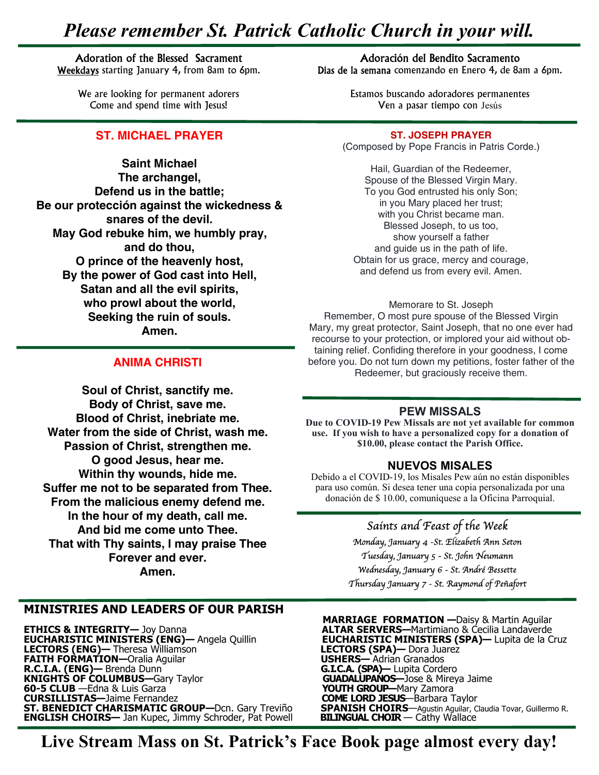# Please remember St. Patrick Catholic Church in your will.

#### Adoration of the Blessed Sacrament

Weekdays starting January 4, from 8am to 6pm.

We are looking for permanent adorers Come and spend time with Jesus!

#### ST. MICHAEL PRAYER

Saint Michael The archangel, Defend us in the battle; Be our protección against the wickedness & snares of the devil. May God rebuke him, we humbly pray, and do thou, O prince of the heavenly host, By the power of God cast into Hell, Satan and all the evil spirits, who prowl about the world, Seeking the ruin of souls. Amen.

#### ANIMA CHRISTI

Soul of Christ, sanctify me. Body of Christ, save me. Blood of Christ, inebriate me. Water from the side of Christ, wash me. Passion of Christ, strengthen me. O good Jesus, hear me. Within thy wounds, hide me. Suffer me not to be separated from Thee. From the malicious enemy defend me. In the hour of my death, call me. And bid me come unto Thee. That with Thy saints, I may praise Thee Forever and ever. Amen.

#### **MINISTRIES AND LEADERS OF OUR PARISH**

**ETHICS & INTEGRITY—** Joy Danna **1998 Communist Control of ALTAR SERVERS—**Martimiano & Cecilia Landaverde **EUCHARISTIC MINISTERS (ENG)—** Angela Quillin **EUCHARISTIC MINISTERS (SPA)—** Lupita de la Cruz **EUCHARISTIC MINISTERS (ENG)—** Angela Quillin **COMPARISTIC MINISTER**<br> **LECTORS (ENG)—** Theresa Williamson **LECTORS (SPA)—** Dora Juan **FAITH FORMATION—**Oralia Aguilar **COMPARISTIC MINISTER FAITH FORMATION—Oralia Aguilar<br>R.C.I.A. (ENG)— Brenda Dunn R.C.I.A. (ENG)—** Brenda Dunn **Matter of Audit Communist Communist G.LC.A. (SPA)—** Lupita Cordero **KNIGHTS OF COLUMBUS—**Gary Taylor **No. 2014 COLORUTANOS—Jose & Mireya Jaime -4 All Solid Contracts CLUB** — Edna & Luis Garza (All Solid Contracts Contracts **YOUTH GROUP**—Mary Zamora<br> **COME LORD JESUS**—Barbara T **CURSILLISTAS—Jaime Fernandez and COME LORD JESUS**—Barbara Taylor **ST. BENEDICT CHARISMATIC GROUP—Dcn. Gary Treviño SPANISH CHOIRS—Agustin Aguilar, Claudia Tovar, Guillermo R.** ENGLISH CHOIRS- Jan Kupec, Jimmy Schroder, Pat Powell BILINGUAL CHOIR - Cathy Wallace

#### Hail, Guardian of the Redeemer, Spouse of the Blessed Virgin Mary. To you God entrusted his only Son; in you Mary placed her trust;

with you Christ became man. Blessed Joseph, to us too, show yourself a father and guide us in the path of life. Obtain for us grace, mercy and courage, and defend us from every evil. Amen.

Memorare to St. Joseph Remember, O most pure spouse of the Blessed Virgin Mary, my great protector, Saint Joseph, that no one ever had recourse to your protection, or implored your aid without obtaining relief. Confiding therefore in your goodness, I come before you. Do not turn down my petitions, foster father of the Redeemer, but graciously receive them.

#### **PEW MISSALS**

Due to COVID-19 Pew Missals are not yet available for common use. If you wish to have a personalized copy for a donation of \$10.00, please contact the Parish Office.

#### **NUEVOS MISALES**

Debido a el COVID-19, los Misales Pew aún no están disponibles para uso común. Si desea tener una copia personalizada por una donación de \$10.00, comuníquese a la Oficina Parroquial.

### Saints and Feast of the Week

Monday, January 4 -St. Elizabeth Ann Seton Tuesday, January 5 - St. John Neumann Wednesday, January 6 - St. André Bessette Thursday January 7 - St. Raymond of Peñafort

**ETHICS & INTEGRITY**— Joy Danna **1988 1998 12:330 MARRIAGE FORMATION** — Daisy & Martin Aguilar<br>**ALTAR SERVERS**—Martimiano & Cecilia Landaverde

Live Stream Mass on St. Patrick's Face Book page almost every day!

#### Adoración del Bendito Sacramento

Dias de la semana comenzando en Enero 4, de 8am a 6pm.

Estamos buscando adoradores permanentes Ven a pasar tiempo con Jesús

ST. JOSEPH PRAYER (Composed by Pope Francis in Patris Corde.)